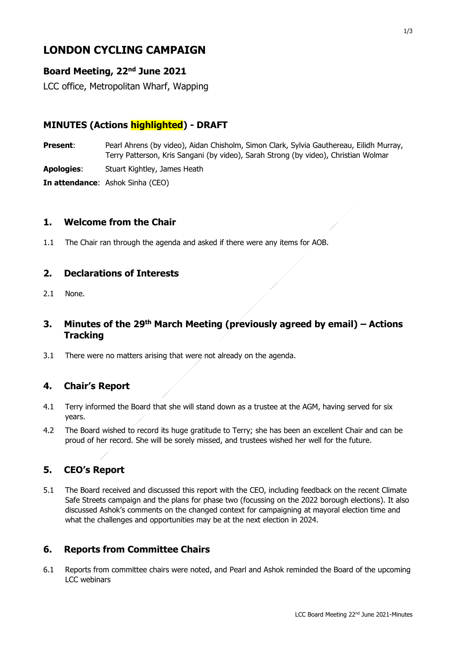# **LONDON CYCLING CAMPAIGN**

## **Board Meeting, 22nd June 2021**

LCC office, Metropolitan Wharf, Wapping

# **MINUTES (Actions highlighted) - DRAFT**

**Present:** Pearl Ahrens (by video), Aidan Chisholm, Simon Clark, Sylvia Gauthereau, Eilidh Murray, Terry Patterson, Kris Sangani (by video), Sarah Strong (by video), Christian Wolmar

**Apologies**: Stuart Kightley, James Heath

**In attendance**: Ashok Sinha (CEO)

#### **1. Welcome from the Chair**

1.1 The Chair ran through the agenda and asked if there were any items for AOB.

#### **2. Declarations of Interests**

2.1 None.

## **3. Minutes of the 29th March Meeting (previously agreed by email) – Actions Tracking**

3.1 There were no matters arising that were not already on the agenda.

# **4. Chair's Report**

- 4.1 Terry informed the Board that she will stand down as a trustee at the AGM, having served for six years.
- 4.2 The Board wished to record its huge gratitude to Terry; she has been an excellent Chair and can be proud of her record. She will be sorely missed, and trustees wished her well for the future.

# **5. CEO's Report**

5.1 The Board received and discussed this report with the CEO, including feedback on the recent Climate Safe Streets campaign and the plans for phase two (focussing on the 2022 borough elections). It also discussed Ashok's comments on the changed context for campaigning at mayoral election time and what the challenges and opportunities may be at the next election in 2024.

#### **6. Reports from Committee Chairs**

6.1 Reports from committee chairs were noted, and Pearl and Ashok reminded the Board of the upcoming LCC webinars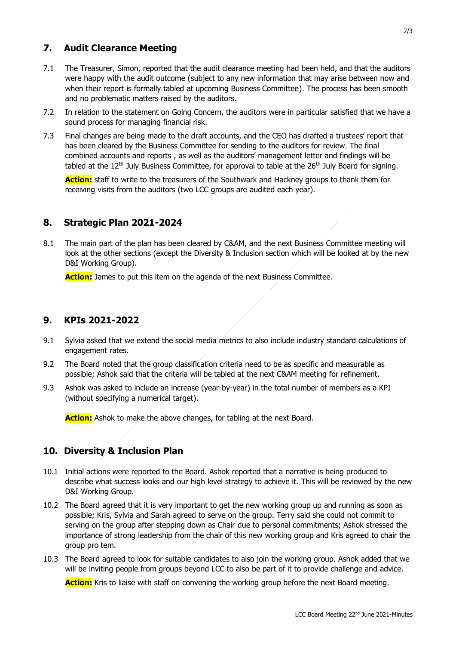## **7. Audit Clearance Meeting**

- 7.1 The Treasurer, Simon, reported that the audit clearance meeting had been held, and that the auditors were happy with the audit outcome (subject to any new information that may arise between now and when their report is formally tabled at upcoming Business Committee). The process has been smooth and no problematic matters raised by the auditors.
- 7.2 In relation to the statement on Going Concern, the auditors were in particular satisfied that we have a sound process for managing financial risk.
- 7.3 Final changes are being made to the draft accounts, and the CEO has drafted a trustees' report that has been cleared by the Business Committee for sending to the auditors for review. The final combined accounts and reports , as well as the auditors' management letter and findings will be tabled at the  $12<sup>th</sup>$  July Business Committee, for approval to table at the  $26<sup>th</sup>$  July Board for signing.

**Action:** staff to write to the treasurers of the Southwark and Hackney groups to thank them for receiving visits from the auditors (two LCC groups are audited each year).

#### **8. Strategic Plan 2021-2024**

8.1 The main part of the plan has been cleared by C&AM, and the next Business Committee meeting will look at the other sections (except the Diversity & Inclusion section which will be looked at by the new D&I Working Group).

**Action:** James to put this item on the agenda of the next Business Committee.

#### **9. KPIs 2021-2022**

- 9.1 Sylvia asked that we extend the social media metrics to also include industry standard calculations of engagement rates.
- 9.2 The Board noted that the group classification criteria need to be as specific and measurable as possible; Ashok said that the criteria will be tabled at the next C&AM meeting for refinement.
- 9.3 Ashok was asked to include an increase (year-by-year) in the total number of members as a KPI (without specifying a numerical target).

**Action:** Ashok to make the above changes, for tabling at the next Board.

#### **10. Diversity & Inclusion Plan**

- 10.1 Initial actions were reported to the Board. Ashok reported that a narrative is being produced to describe what success looks and our high level strategy to achieve it. This will be reviewed by the new D&I Working Group.
- 10.2 The Board agreed that it is very important to get the new working group up and running as soon as possible; Kris, Sylvia and Sarah agreed to serve on the group. Terry said she could not commit to serving on the group after stepping down as Chair due to personal commitments; Ashok stressed the importance of strong leadership from the chair of this new working group and Kris agreed to chair the group pro tem.
- 10.3 The Board agreed to look for suitable candidates to also join the working group. Ashok added that we will be inviting people from groups beyond LCC to also be part of it to provide challenge and advice.

**Action:** Kris to liaise with staff on convening the working group before the next Board meeting.